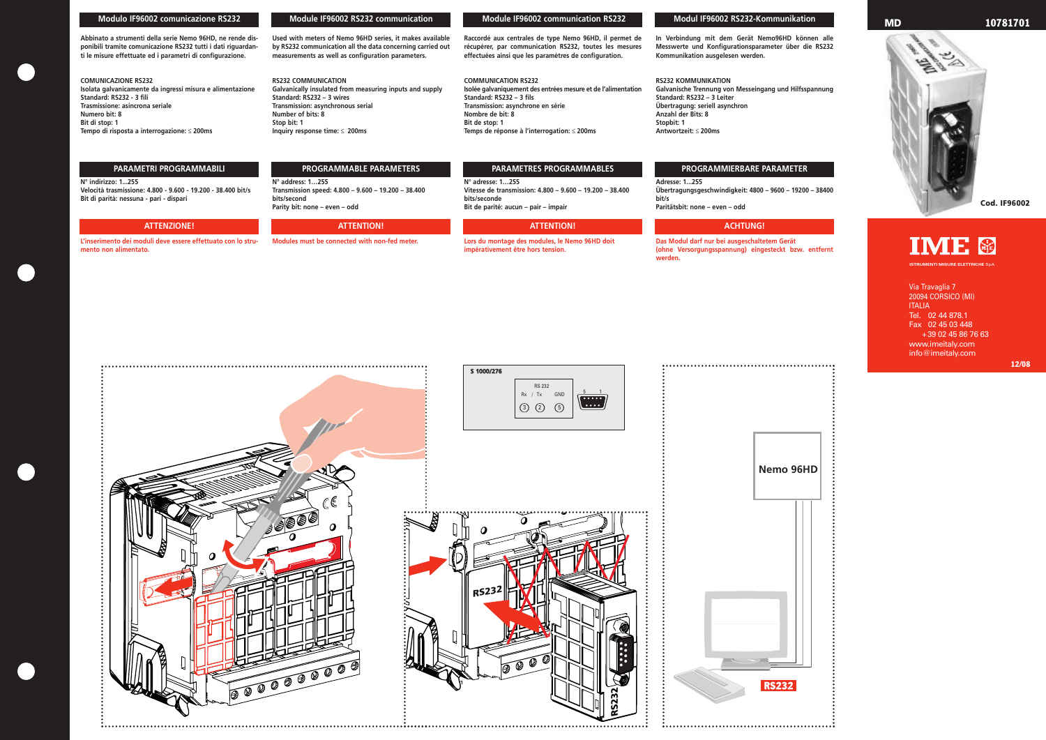## **Modulo IF96002 comunicazione RS232**

**Abbinato a strumenti della serie Nemo 96HD, ne rende disponibili tramite comunicazione RS232 tutti i dati riguardanti le misure effettuate ed i parametri di configurazione.**

### **COMUNICAZIONE RS232 Isolata galvanicamente da ingressi misura e alimentazione Standard: RS232 - 3 fili Trasmissione: asincrona seriale Numero bit: 8 Bit di stop: 1 Tempo di risposta a interrogazione:** ≤ **200ms**

## **N° indirizzo: 1...255 Velocità trasmissione: 4.800 - 9.600 - 19.200 - 38.400 bit/s Bit di parità: nessuna - pari - dispari**

**L'inserimento dei moduli deve essere effettuato con lo strumento non alimentato.**

**Used with meters of Nemo 96HD series, it makes available by RS232 communication all the data concerning carried out**

**measurements as well as configuration parameters.**

**RS232 COMMUNICATION**

**Galvanically insulated from measuring inputs and supply**

**Standard: RS232 – 3 wires Transmission: asynchronous serial**

**Number of bits: 8 Stop bit: 1**

**Inquiry response time:** ≤ **200ms**

**N° address: 1…255 Transmission speed: 4.800 – 9.600 – 19.200 – 38.400 bits/second Parity bit: none – even – odd**

**Modules must be connected with non-fed meter.**

**Raccordé aux centrales de type Nemo 96HD, il permet de récupérer, par communication RS232, toutes les mesures effectuées ainsi que les paramètres de configuration.** 

**COMMUNICATION RS232 Isolée galvaniquement des entrées mesure et de l'alimentation Standard: RS232 – 3 fils Transmission: asynchrone en série Nombre de bit: 8 Bit de stop: 1 Temps de réponse à l'interrogation:** ≤ **200ms**

**N° adresse: 1…255 Vitesse de transmission: 4.800 – 9.600 – 19.200 – 38.400 bits/seconde Bit de parité: aucun – pair – impair**

**Lors du montage des modules, le Nemo 96HD doit impérativement être hors tension.**

**In Verbindung mit dem Gerät Nemo96HD können alle Messwerte und Konfigurationsparameter über die RS232 Kommunikation ausgelesen werden.**

### **RS232 KOMMUNIKATION**

**Galvanische Trennung von Messeingang und Hilfsspannung Standard: RS232 – 3 Leiter Übertragung: seriell asynchron Anzahl der Bits: 8 Stopbit: 1 Antwortzeit:** ≤ **200ms**

**Adresse: 1...255 Übertragungsgeschwindigkeit: 4800 – 9600 – 19200 – 38400 bit/s Paritätsbit: none – even – odd**

**Das Modul darf nur bei ausgeschaltetem Gerät (ohne Versorgungsspannung) eingesteckt bzw. entfernt werden.**

## **Module IF96002 RS232 communication Module IF96002 communication RS232 Modul IF96002 RS232-Kommunikation**

# **PARAMETRI PROGRAMMABILI PROGRAMMABLE PARAMETERS PARAMETRES PROGRAMMABLES PROGRAMMIERBARE PARAMETER**







## **ATTENZIONE! ATTENTION! ATTENTION! ACHTUNG!**

Via Travaglia 7 20094 CORSICO (MI) ITALIA Tel. 02 44 878.1 Fax 02 45 03 448 +39 02 45 86 76 63 www.imeitaly.com info@imeitaly.com

**ISTRUMENTI MISURE ELETTRICHE** SpA



# **MD 10781701**

**Cod. IF96002**



**12/08**